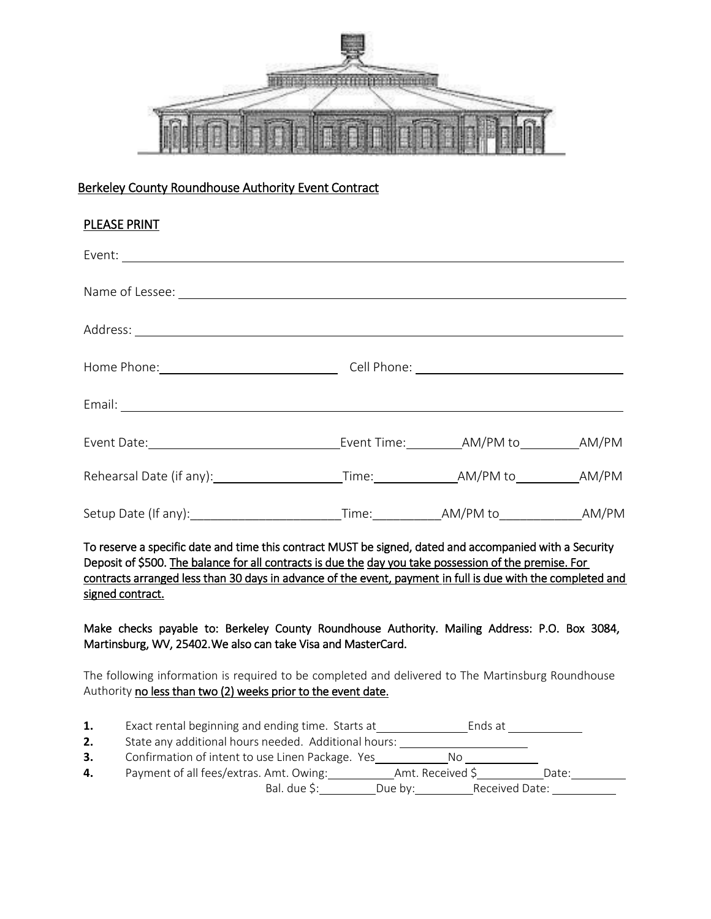

# Berkeley County Roundhouse Authority Event Contract

| <b>PLEASE PRINT</b>                                                                                                                                                                                               |  |  |  |  |
|-------------------------------------------------------------------------------------------------------------------------------------------------------------------------------------------------------------------|--|--|--|--|
|                                                                                                                                                                                                                   |  |  |  |  |
|                                                                                                                                                                                                                   |  |  |  |  |
|                                                                                                                                                                                                                   |  |  |  |  |
|                                                                                                                                                                                                                   |  |  |  |  |
|                                                                                                                                                                                                                   |  |  |  |  |
|                                                                                                                                                                                                                   |  |  |  |  |
|                                                                                                                                                                                                                   |  |  |  |  |
|                                                                                                                                                                                                                   |  |  |  |  |
| To reserve a specific date and time this contract MUST be signed, dated and accompanied with a Security<br>Deposit of $5500$ The balance for all contracts is due the day you take possession of the premise. For |  |  |  |  |

Deposit of \$500. The balance for all contracts is due the day you take possession of the premise. For contracts arranged less than 30 days in advance of the event, payment in full is due with the completed and signed contract.

Make checks payable to: Berkeley County Roundhouse Authority. Mailing Address: P.O. Box 3084, Martinsburg, WV, 25402. We also can take Visa and MasterCard.

The following information is required to be completed and delivered to The Martinsburg Roundhouse Authority no less than two (2) weeks prior to the event date.

| Exact rental beginning and ending time. Starts at<br>Ends at |  |
|--------------------------------------------------------------|--|
|--------------------------------------------------------------|--|

**2.** State any additional hours needed. Additional hours:

**3.** Confirmation of intent to use Linen Package. Yes No No

| Payment of all fees/extras. Amt. Owing: | Amt. Received S |                | Date: |  |
|-----------------------------------------|-----------------|----------------|-------|--|
| Bal. due S:                             | Due by:         | Received Date: |       |  |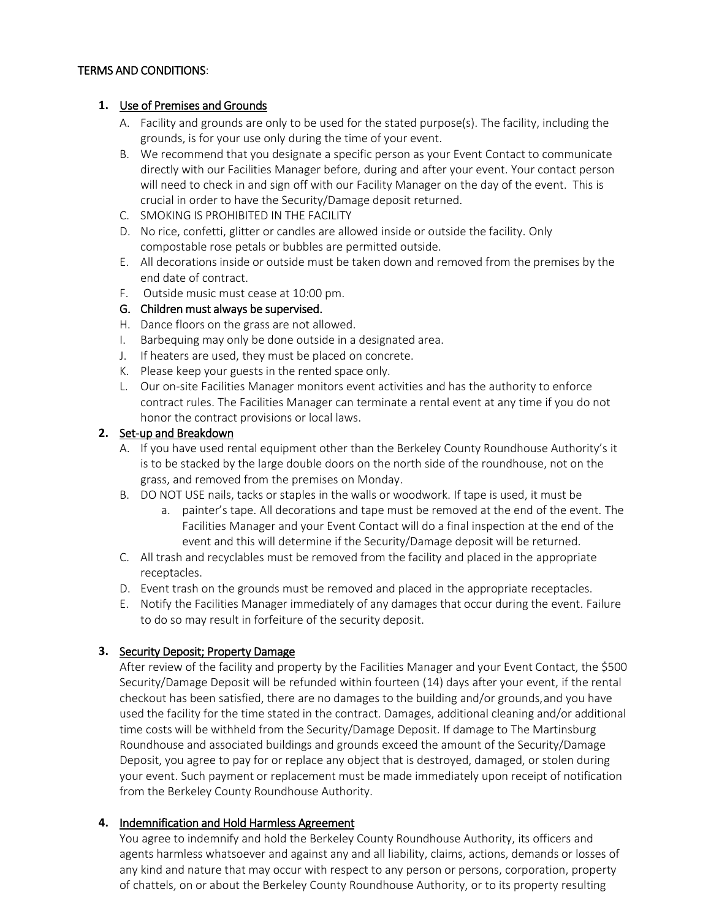#### TERMS AND CONDITIONS:

#### **1.** Use of Premises and Grounds

- A. Facility and grounds are only to be used for the stated purpose(s). The facility, including the grounds, is for your use only during the time of your event.
- B. We recommend that you designate a specific person as your Event Contact to communicate directly with our Facilities Manager before, during and after your event. Your contact person will need to check in and sign off with our Facility Manager on the day of the event. This is crucial in order to have the Security/Damage deposit returned.
- C. SMOKING IS PROHIBITED IN THE FACILITY
- D. No rice, confetti, glitter or candles are allowed inside or outside the facility. Only compostable rose petals or bubbles are permitted outside.
- E. All decorations inside or outside must be taken down and removed from the premises by the end date of contract.
- F. Outside music must cease at 10:00 pm.

## G. Children must always be supervised.

- H. Dance floors on the grass are not allowed.
- I. Barbequing may only be done outside in a designated area.
- J. If heaters are used, they must be placed on concrete.
- K. Please keep your guests in the rented space only.
- L. Our on-site Facilities Manager monitors event activities and has the authority to enforce contract rules. The Facilities Manager can terminate a rental event at any time if you do not honor the contract provisions or local laws.

#### **2.** Set-up and Breakdown

- A. If you have used rental equipment other than the Berkeley County Roundhouse Authority's it is to be stacked by the large double doors on the north side of the roundhouse, not on the grass, and removed from the premises on Monday .
- B. DO NOT USE nails, tacks or staples in the walls or woodwork. If tape is used, it must be
	- a. painter's tape. All decorations and tape must be removed at the end of the event. The Facilities Manager and your Event Contact will do a final inspection at the end of the event and this will determine if the Security/Damage deposit will be returned.
- C. All trash and recyclables must be removed from the facility and placed in the appropriate receptacles.
- D. Event trash on the grounds must be removed and placed in the appropriate receptacles.
- E. Notify the Facilities Manager immediately of any damages that occur during the event. Failure to do so may result in forfeiture of the security deposit.

## **3.** Security Deposit; Property Damage

After review of the facility and property by the Facilities Manager and your Event Contact, the \$500 Security/Damage Deposit will be refunded within fourteen (14) days after your event, if the rental checkout has been satisfied, there are no damages to the building and/or grounds, and you have used the facility for the time stated in the contract. Damages, additional cleaning and/or additional time costs will be withheld from the Security/Damage Deposit. If damage to The Martinsburg Roundhouse and associated buildings and grounds exceed the amount of the Security/Damage Deposit, you agree to pay for or replace any object that is destroyed, damaged, or stolen during your event. Such payment or replacement must be made immediately upon receipt of notification from the Berkeley County Roundhouse Authority.

## **4.** Indemnification and Hold Harmless Agreement

You agree to indemnify and hold the Berkeley County Roundhouse Authority, its officers and agents harmless whatsoever and against any and all liability, claims, actions, demands or losses of any kind and nature that may occur with respect to any person or persons, corporation, property of chattels, on or about the Berkeley County Roundhouse Authority, or to its property resulting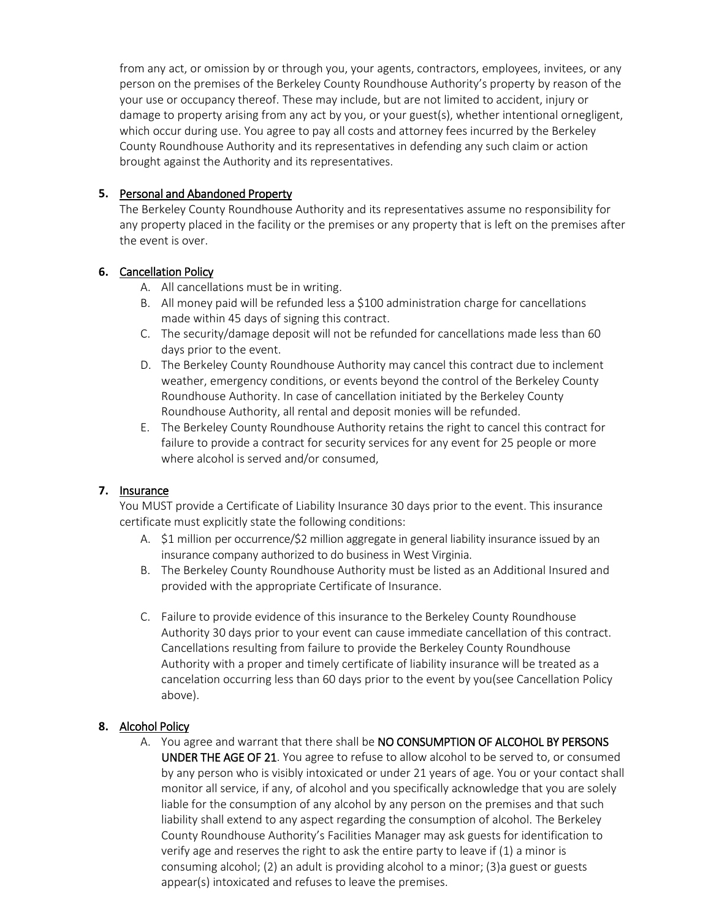from any act, or omission by or through you, your agents, contractors, employees, invitees, or any person on the premises of the Berkeley County Roundhouse Authority's property by reason of the your use or occupancy thereof. These may include, but are not limited to accident, injury or damage to property arising from any act by you, or your guest(s), whether intentional ornegligent, which occur during use. You agree to pay all costs and attorney fees incurred by the Berkeley County Roundhouse Authority and its representatives in defending any such claim or action brought against the Authority and its representatives.

#### **5.** Personal and Abandoned Property

The Berkeley County Roundhouse Authority and its representatives assume no responsibility for any property placed in the facility or the premises or any property that is left on the premises after the event is over.

## **6.** Cancellation Policy

- A. All cancellations must be in writing.
- B. All money paid will be refunded less a \$100 administration charge for cancellations made within 45 days of signing this contract.
- C. The security/damage deposit will not be refunded for cancellations made less than 60 days prior to the event.
- D. The Berkeley County Roundhouse Authority may cancel this contract due to inclement weather, emergency conditions, or events beyond the control of the Berkeley County Roundhouse Authority. In case of cancellation initiated by the Berkeley County Roundhouse Authority, all rental and deposit monies will be refunded.
- E. The Berkeley County Roundhouse Authority retains the right to cancel this contract for failure to provide a contract for security services for any event for 25 people or more where alcohol is served and/or consumed,

## **7.** Insurance

You MUST provide a Certificate of Liability Insurance 30 days prior to the event. This insurance certificate must explicitly state the following conditions:

- A. \$1 million per occurrence/\$2 million aggregate in general liability insurance issued by an insurance company authorized to do business in West Virginia.
- B. The Berkeley County Roundhouse Authority must be listed as an Additional Insured and provided with the appropriate Certificate of Insurance.
- C. Failure to provide evidence of this insurance to the Berkeley County Roundhouse Authority 30 days prior to your event can cause immediate cancellation of this contract. Cancellations resulting from failure to provide the Berkeley County Roundhouse Authority with a proper and timely certificate of liability insurance will be treated as a cancelation occurring less than 60 days prior to the event by you(see Cancellation Policy above).

## **8.** Alcohol Policy

A. You agree and warrant that there shall be NO CONSUMPTION OF ALCOHOL BY PERSONS UNDER THE AGE OF 21. You agree to refuse to allow alcohol to be served to, or consumed by any person who is visibly intoxicated or under 21 years of age. You or your contact shall monitor all service, if any, of alcohol and you specifically acknowledge that you are solely liable for the consumption of any alcohol by any person on the premises and that such liability shall extend to any aspect regarding the consumption of alcohol. The Berkeley County Roundhouse Authority's Facilities Manager may ask guests for identification to verify age and reserves the right to ask the entire party to leave if (1) a minor is consuming alcohol; (2) an adult is providing alcohol to a minor; (3)a guest or guests appear(s) intoxicated and refuses to leave the premises.